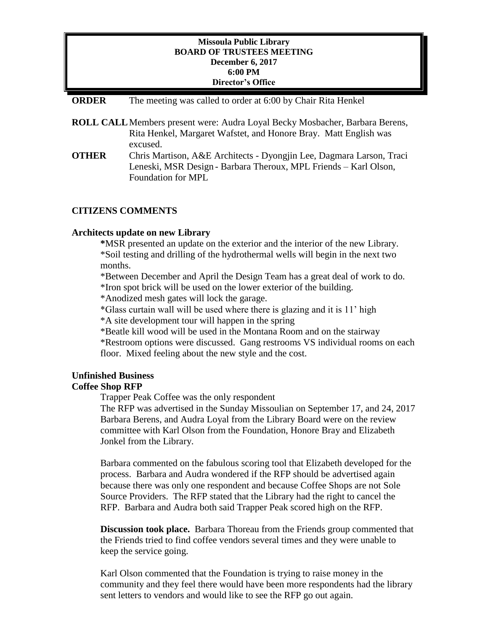# **Missoula Public Library BOARD OF TRUSTEES MEETING December 6, 2017 6:00 PM Director's Office**

#### **ORDER** The meeting was called to order at 6:00 by Chair Rita Henkel

- **ROLL CALL**Members present were: Audra Loyal Becky Mosbacher, Barbara Berens, Rita Henkel, Margaret Wafstet, and Honore Bray. Matt English was excused.
- **OTHER** Chris Martison, A&E Architects Dyongjin Lee, Dagmara Larson, Traci Leneski, MSR Design - Barbara Theroux, MPL Friends – Karl Olson, Foundation for MPL

# **CITIZENS COMMENTS**

#### **Architects update on new Library**

**\***MSR presented an update on the exterior and the interior of the new Library. \*Soil testing and drilling of the hydrothermal wells will begin in the next two months.

\*Between December and April the Design Team has a great deal of work to do. \*Iron spot brick will be used on the lower exterior of the building.

\*Anodized mesh gates will lock the garage.

\*Glass curtain wall will be used where there is glazing and it is 11' high

\*A site development tour will happen in the spring

\*Beatle kill wood will be used in the Montana Room and on the stairway

\*Restroom options were discussed. Gang restrooms VS individual rooms on each floor. Mixed feeling about the new style and the cost.

# **Unfinished Business**

# **Coffee Shop RFP**

Trapper Peak Coffee was the only respondent

The RFP was advertised in the Sunday Missoulian on September 17, and 24, 2017 Barbara Berens, and Audra Loyal from the Library Board were on the review committee with Karl Olson from the Foundation, Honore Bray and Elizabeth Jonkel from the Library.

Barbara commented on the fabulous scoring tool that Elizabeth developed for the process. Barbara and Audra wondered if the RFP should be advertised again because there was only one respondent and because Coffee Shops are not Sole Source Providers. The RFP stated that the Library had the right to cancel the RFP. Barbara and Audra both said Trapper Peak scored high on the RFP.

**Discussion took place.** Barbara Thoreau from the Friends group commented that the Friends tried to find coffee vendors several times and they were unable to keep the service going.

Karl Olson commented that the Foundation is trying to raise money in the community and they feel there would have been more respondents had the library sent letters to vendors and would like to see the RFP go out again.